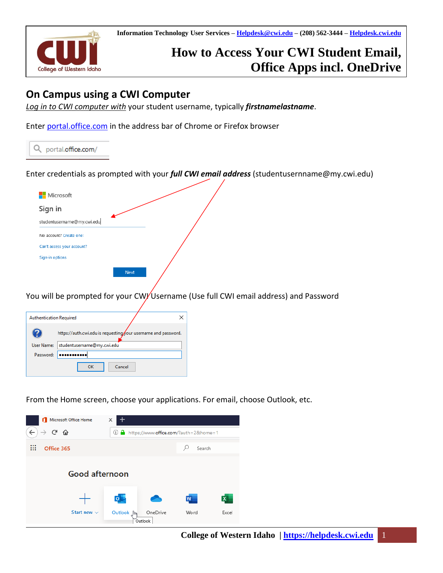

# **How to Access Your CWI Student Email, Office Apps incl. OneDrive**

# **On Campus using a CWI Computer**

*Log in to CWI computer with* your student username, typically *firstnamelastname*.

Enter [portal.office.com](https://portal.office.com/) in the address bar of Chrome or Firefox browser

Q portal.office.com/

Enter credentials as prompted with your *full CWI email address* (studentusernname@my.cwi.edu)



You will be prompted for your CW/Username (Use full CWI email address) and Password

| <b>Authentication Required</b> |                                                                                             |
|--------------------------------|---------------------------------------------------------------------------------------------|
| 7<br><b>User Name:</b>         | https://auth.cwi.edu is requesting/our username and password.<br>studentusername@my.cwi.edu |
| Password:                      |                                                                                             |
|                                | Cancel<br>ок                                                                                |

From the Home screen, choose your applications. For email, choose Outlook, etc.

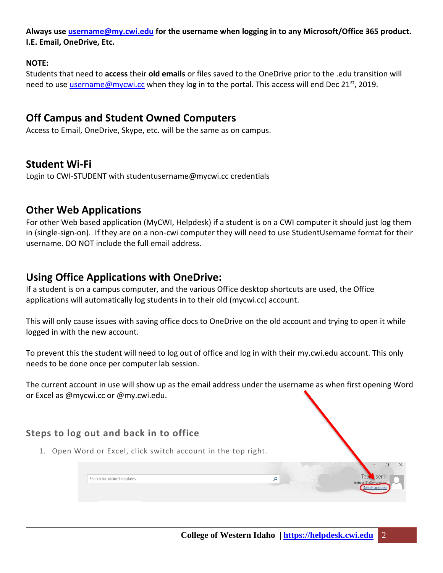**Always use [username@my.cwi.edu](mailto:username@my.cwi.edu) for the username when logging in to any Microsoft/Office 365 product. I.E. Email, OneDrive, Etc.**

#### **NOTE:**

Students that need to **access** their **old emails** or files saved to the OneDrive prior to the .edu transition will need to use [username@mycwi.cc](mailto:username@mycwi.cc) when they log in to the portal. This access will end Dec 21<sup>st</sup>, 2019.

### **Off Campus and Student Owned Computers**

Access to Email, OneDrive, Skype, etc. will be the same as on campus.

### **Student Wi-Fi**

Login to CWI-STUDENT with studentusername@mycwi.cc credentials

### **Other Web Applications**

For other Web based application (MyCWI, Helpdesk) if a student is on a CWI computer it should just log them in (single-sign-on). If they are on a non-cwi computer they will need to use StudentUsername format for their username. DO NOT include the full email address.

## **Using Office Applications with OneDrive:**

If a student is on a campus computer, and the various Office desktop shortcuts are used, the Office applications will automatically log students in to their old (mycwi.cc) account.

This will only cause issues with saving office docs to OneDrive on the old account and trying to open it while logged in with the new account.

To prevent this the student will need to log out of office and log in with their my.cwi.edu account. This only needs to be done once per computer lab session.

The current account in use will show up as the email address under the username as when first opening Word or Excel as @mycwi.cc or @my.cwi.edu.

### **Steps to log out and back in to office**

1. Open Word or Excel, click switch account in the top right.

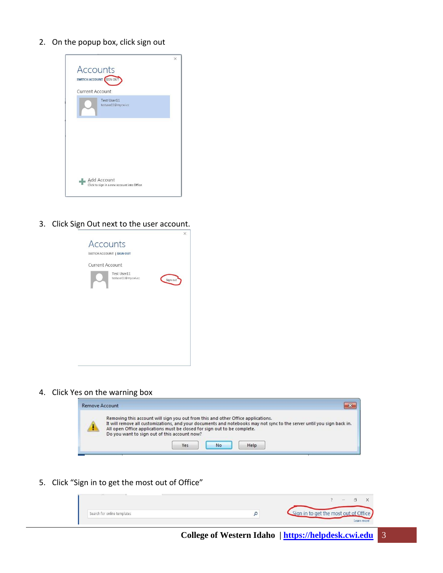2. On the popup box, click sign out



3. Click Sign Out next to the user account.

| <b>Accounts</b> |                                    | ×        |
|-----------------|------------------------------------|----------|
|                 | SWITCH ACCOUNT   SIGN OUT          |          |
| Current Account |                                    |          |
|                 | Test User11<br>testuser11@mycwi.cc | Sign out |
|                 |                                    |          |
|                 |                                    |          |
|                 |                                    |          |
|                 |                                    |          |
|                 |                                    |          |

4. Click Yes on the warning box



5. Click "Sign in to get the most out of Office"

|                             |                                       | $\overline{\phantom{a}}$ |
|-----------------------------|---------------------------------------|--------------------------|
| Search for online templates | Sign in to get the most out of Office |                          |
|                             |                                       | Learn more               |